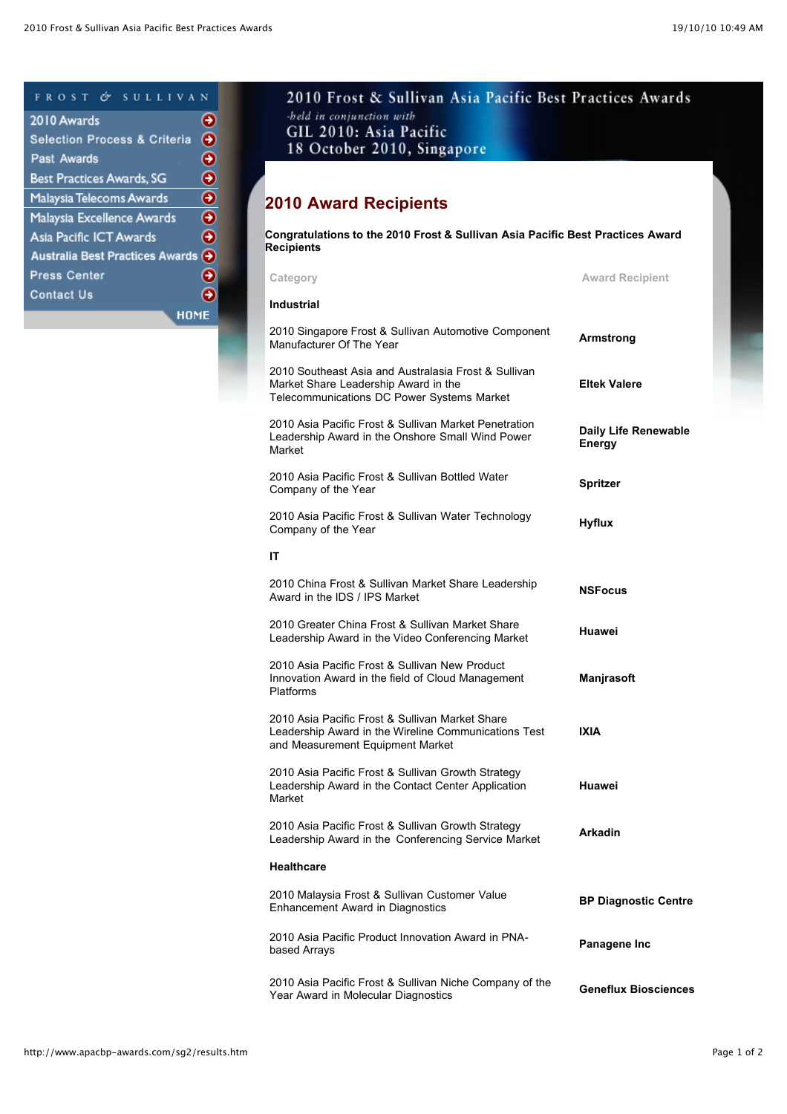## FROST & SULLIVAN

| 2010 Awards                             |   |
|-----------------------------------------|---|
| <b>Selection Process &amp; Criteria</b> | Θ |
| Past Awards                             | Ð |
| Best Practices Awards, SG               | Ð |
| Malaysia Telecoms Awards                | Ð |
| Malaysia Excellence Awards              | Ð |
| Asia Pacific ICT Awards                 | → |
| Australia Best Practices Awards (2)     |   |
| <b>Press Center</b>                     | → |
| <b>Contact Us</b>                       |   |
| HOME                                    |   |

## 2010 Frost & Sullivan Asia Pacific Best Practices Awards -held in conjunction with GIL 2010: Asia Pacific 18 October 2010, Singapore

## **2010 Award Recipients**

**Congratulations to the 2010 Frost & Sullivan Asia Pacific Best Practices Award Recipients Category Award Recipient Industrial** 2010 Singapore Frost & Sullivan Automotive Component Manufacturer Of The Year **Armstrong** 2010 Southeast Asia and Australasia Frost & Sullivan Market Share Leadership Award in the Telecommunications DC Power Systems Market **Eltek Valere** 2010 Asia Pacific Frost & Sullivan Market Penetration Leadership Award in the Onshore Small Wind Power Market **Daily Life Renewable Energy** 2010 Asia Pacific Frost & Sullivan Bottled Water Company of the Year **Spritzer** 2010 Asia Pacific Frost & Sullivan Water Technology Company of the Year **Hyflux IT** 2010 China Frost & Sullivan Market Share Leadership Award in the IDS / IPS Market **NSFocus** 2010 Greater China Frost & Sullivan Market Share Leadership Award in the Video Conferencing Market **Huawei** 2010 Asia Pacific Frost & Sullivan New Product Innovation Award in the field of Cloud Management Platforms **Manjrasoft** 2010 Asia Pacific Frost & Sullivan Market Share Leadership Award in the Wireline Communications Test and Measurement Equipment Market **IXIA** 2010 Asia Pacific Frost & Sullivan Growth Strategy Leadership Award in the Contact Center Application Market **Huawei** 2010 Asia Pacific Frost & Sullivan Growth Strategy Leadership Award in the Conferencing Service Market **Arkadin Healthcare** 2010 Malaysia Frost & Sullivan Customer Value Enhancement Award in Diagnostics **BP Diagnostic Centre** 2010 Asia Pacific Product Innovation Award in PNA-based Arrays **Panagene Inc** 2010 Asia Pacific Frost & Sullivan Niche Company of the Year Award in Molecular Diagnostics **Geneflux Biosciences**